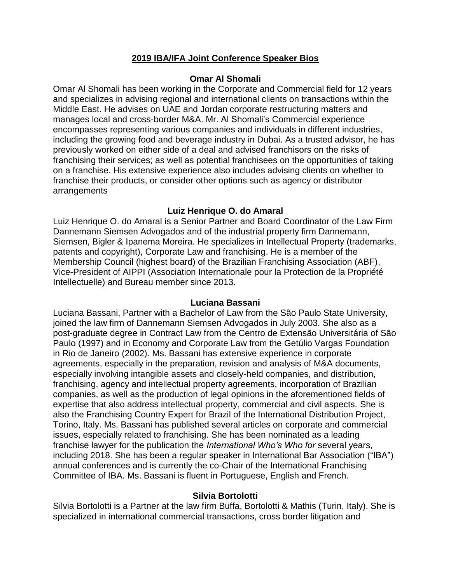## **2019 IBA/IFA Joint Conference Speaker Bios**

### **Omar Al Shomali**

Omar Al Shomali has been working in the Corporate and Commercial field for 12 years and specializes in advising regional and international clients on transactions within the Middle East. He advises on UAE and Jordan corporate restructuring matters and manages local and cross-border M&A. Mr. Al Shomali's Commercial experience encompasses representing various companies and individuals in different industries, including the growing food and beverage industry in Dubai. As a trusted advisor, he has previously worked on either side of a deal and advised franchisors on the risks of franchising their services; as well as potential franchisees on the opportunities of taking on a franchise. His extensive experience also includes advising clients on whether to franchise their products, or consider other options such as agency or distributor arrangements

## **Luiz Henrique O. do Amaral**

Luiz Henrique O. do Amaral is a Senior Partner and Board Coordinator of the Law Firm Dannemann Siemsen Advogados and of the industrial property firm Dannemann, Siemsen, Bigler & Ipanema Moreira. He specializes in Intellectual Property (trademarks, patents and copyright), Corporate Law and franchising. He is a member of the Membership Council (highest board) of the Brazilian Franchising Association (ABF), Vice-President of AIPPI (Association Internationale pour la Protection de la Propriété Intellectuelle) and Bureau member since 2013.

### **Luciana Bassani**

Luciana Bassani, Partner with a Bachelor of Law from the São Paulo State University, joined the law firm of Dannemann Siemsen Advogados in July 2003. She also as a post-graduate degree in Contract Law from the Centro de Extensão Universitária of São Paulo (1997) and in Economy and Corporate Law from the Getúlio Vargas Foundation in Rio de Janeiro (2002). Ms. Bassani has extensive experience in corporate agreements, especially in the preparation, revision and analysis of M&A documents, especially involving intangible assets and closely-held companies, and distribution, franchising, agency and intellectual property agreements, incorporation of Brazilian companies, as well as the production of legal opinions in the aforementioned fields of expertise that also address intellectual property, commercial and civil aspects. She is also the Franchising Country Expert for Brazil of the International Distribution Project, Torino, Italy. Ms. Bassani has published several articles on corporate and commercial issues, especially related to franchising. She has been nominated as a leading franchise lawyer for the publication the *International Who's Who for* several years, including 2018. She has been a regular speaker in International Bar Association ("IBA") annual conferences and is currently the co-Chair of the International Franchising Committee of IBA. Ms. Bassani is fluent in Portuguese, English and French.

### **Silvia Bortolotti**

Silvia Bortolotti is a Partner at the law firm Buffa, Bortolotti & Mathis (Turin, Italy). She is specialized in international commercial transactions, cross border litigation and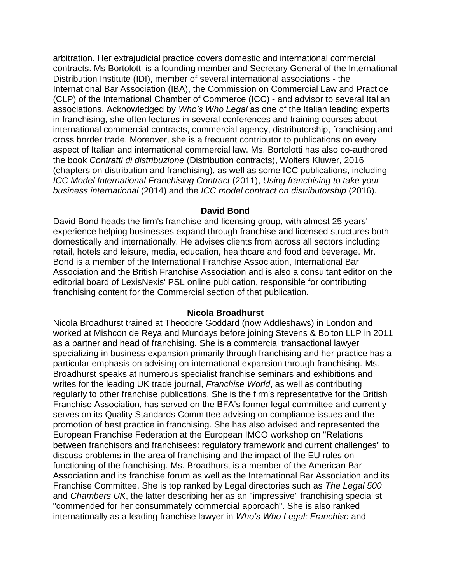arbitration. Her extrajudicial practice covers domestic and international commercial contracts. Ms Bortolotti is a founding member and Secretary General of the International Distribution Institute (IDI), member of several international associations - the International Bar Association (IBA), the Commission on Commercial Law and Practice (CLP) of the International Chamber of Commerce (ICC) - and advisor to several Italian associations. Acknowledged by *Who's Who Legal* as one of the Italian leading experts in franchising, she often lectures in several conferences and training courses about international commercial contracts, commercial agency, distributorship, franchising and cross border trade. Moreover, she is a frequent contributor to publications on every aspect of Italian and international commercial law. Ms. Bortolotti has also co-authored the book *Contratti di distribuzione* (Distribution contracts), Wolters Kluwer, 2016 (chapters on distribution and franchising), as well as some ICC publications, including *ICC Model International Franchising Contract* (2011), *Using franchising to take your business international* (2014) and the *ICC model contract on distributorship* (2016).

#### **David Bond**

David Bond heads the firm's franchise and licensing group, with almost 25 years' experience helping businesses expand through franchise and licensed structures both domestically and internationally. He advises clients from across all sectors including retail, hotels and leisure, media, education, healthcare and food and beverage. Mr. Bond is a member of the International Franchise Association, International Bar Association and the British Franchise Association and is also a consultant editor on the editorial board of LexisNexis' PSL online publication, responsible for contributing franchising content for the Commercial section of that publication.

#### **Nicola Broadhurst**

Nicola Broadhurst trained at Theodore Goddard (now Addleshaws) in London and worked at Mishcon de Reya and Mundays before joining Stevens & Bolton LLP in 2011 as a partner and head of franchising. She is a commercial transactional lawyer specializing in business expansion primarily through franchising and her practice has a particular emphasis on advising on international expansion through franchising. Ms. Broadhurst speaks at numerous specialist franchise seminars and exhibitions and writes for the leading UK trade journal, *Franchise World*, as well as contributing regularly to other franchise publications. She is the firm's representative for the British Franchise Association, has served on the BFA's former legal committee and currently serves on its Quality Standards Committee advising on compliance issues and the promotion of best practice in franchising. She has also advised and represented the European Franchise Federation at the European IMCO workshop on "Relations between franchisors and franchisees: regulatory framework and current challenges" to discuss problems in the area of franchising and the impact of the EU rules on functioning of the franchising. Ms. Broadhurst is a member of the American Bar Association and its franchise forum as well as the International Bar Association and its Franchise Committee. She is top ranked by Legal directories such as *The Legal 500* and *Chambers UK*, the latter describing her as an "impressive" franchising specialist "commended for her consummately commercial approach". She is also ranked internationally as a leading franchise lawyer in *Who's Who Legal: Franchise* and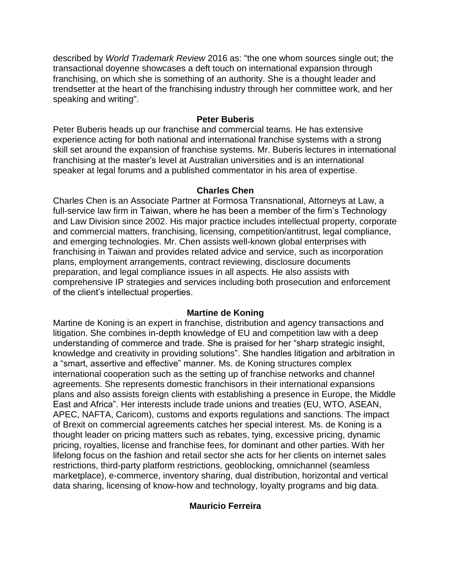described by *World Trademark Review* 2016 as: "the one whom sources single out; the transactional doyenne showcases a deft touch on international expansion through franchising, on which she is something of an authority. She is a thought leader and trendsetter at the heart of the franchising industry through her committee work, and her speaking and writing".

#### **Peter Buberis**

Peter Buberis heads up our franchise and commercial teams. He has extensive experience acting for both national and international franchise systems with a strong skill set around the expansion of franchise systems. Mr. Buberis lectures in international franchising at the master's level at Australian universities and is an international speaker at legal forums and a published commentator in his area of expertise.

### **Charles Chen**

Charles Chen is an Associate Partner at Formosa Transnational, Attorneys at Law, a full-service law firm in Taiwan, where he has been a member of the firm's Technology and Law Division since 2002. His major practice includes intellectual property, corporate and commercial matters, franchising, licensing, competition/antitrust, legal compliance, and emerging technologies. Mr. Chen assists well-known global enterprises with franchising in Taiwan and provides related advice and service, such as incorporation plans, employment arrangements, contract reviewing, disclosure documents preparation, and legal compliance issues in all aspects. He also assists with comprehensive IP strategies and services including both prosecution and enforcement of the client's intellectual properties.

### **Martine de Koning**

Martine de Koning is an expert in franchise, distribution and agency transactions and litigation. She combines in-depth knowledge of EU and competition law with a deep understanding of commerce and trade. She is praised for her "sharp strategic insight, knowledge and creativity in providing solutions". She handles litigation and arbitration in a "smart, assertive and effective" manner. Ms. de Koning structures complex international cooperation such as the setting up of franchise networks and channel agreements. She represents domestic franchisors in their international expansions plans and also assists foreign clients with establishing a presence in Europe, the Middle East and Africa". Her interests include trade unions and treaties (EU, WTO, ASEAN, APEC, NAFTA, Caricom), customs and exports regulations and sanctions. The impact of Brexit on commercial agreements catches her special interest. Ms. de Koning is a thought leader on pricing matters such as rebates, tying, excessive pricing, dynamic pricing, royalties, license and franchise fees, for dominant and other parties. With her lifelong focus on the fashion and retail sector she acts for her clients on internet sales restrictions, third-party platform restrictions, geoblocking, omnichannel (seamless marketplace), e-commerce, inventory sharing, dual distribution, horizontal and vertical data sharing, licensing of know-how and technology, loyalty programs and big data.

# **Mauricio Ferreira**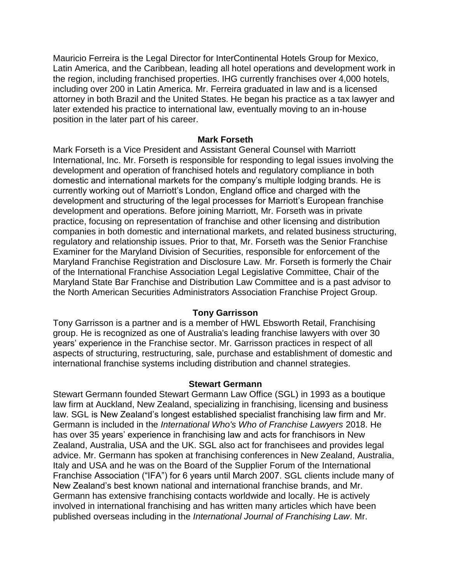Mauricio Ferreira is the Legal Director for InterContinental Hotels Group for Mexico, Latin America, and the Caribbean, leading all hotel operations and development work in the region, including franchised properties. IHG currently franchises over 4,000 hotels, including over 200 in Latin America. Mr. Ferreira graduated in law and is a licensed attorney in both Brazil and the United States. He began his practice as a tax lawyer and later extended his practice to international law, eventually moving to an in-house position in the later part of his career.

#### **Mark Forseth**

Mark Forseth is a Vice President and Assistant General Counsel with Marriott International, Inc. Mr. Forseth is responsible for responding to legal issues involving the development and operation of franchised hotels and regulatory compliance in both domestic and international markets for the company's multiple lodging brands. He is currently working out of Marriott's London, England office and charged with the development and structuring of the legal processes for Marriott's European franchise development and operations. Before joining Marriott, Mr. Forseth was in private practice, focusing on representation of franchise and other licensing and distribution companies in both domestic and international markets, and related business structuring, regulatory and relationship issues. Prior to that, Mr. Forseth was the Senior Franchise Examiner for the Maryland Division of Securities, responsible for enforcement of the Maryland Franchise Registration and Disclosure Law. Mr. Forseth is formerly the Chair of the International Franchise Association Legal Legislative Committee, Chair of the Maryland State Bar Franchise and Distribution Law Committee and is a past advisor to the North American Securities Administrators Association Franchise Project Group.

#### **Tony Garrisson**

Tony Garrisson is a partner and is a member of HWL Ebsworth Retail, Franchising group. He is recognized as one of Australia's leading franchise lawyers with over 30 years' experience in the Franchise sector. Mr. Garrisson practices in respect of all aspects of structuring, restructuring, sale, purchase and establishment of domestic and international franchise systems including distribution and channel strategies.

#### **Stewart Germann**

Stewart Germann founded Stewart Germann Law Office (SGL) in 1993 as a boutique law firm at Auckland, New Zealand, specializing in franchising, licensing and business law. SGL is New Zealand's longest established specialist franchising law firm and Mr. Germann is included in the *International Who's Who of Franchise Lawyers* 2018. He has over 35 years' experience in franchising law and acts for franchisors in New Zealand, Australia, USA and the UK. SGL also act for franchisees and provides legal advice. Mr. Germann has spoken at franchising conferences in New Zealand, Australia, Italy and USA and he was on the Board of the Supplier Forum of the International Franchise Association ("IFA") for 6 years until March 2007. SGL clients include many of New Zealand's best known national and international franchise brands, and Mr. Germann has extensive franchising contacts worldwide and locally. He is actively involved in international franchising and has written many articles which have been published overseas including in the *International Journal of Franchising Law*. Mr.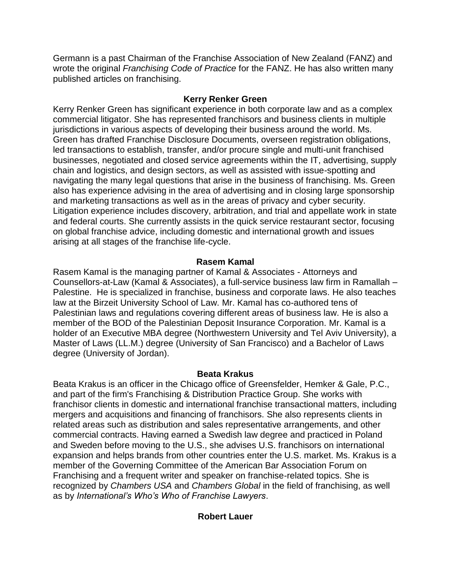Germann is a past Chairman of the Franchise Association of New Zealand (FANZ) and wrote the original *Franchising Code of Practice* for the FANZ. He has also written many published articles on franchising.

## **Kerry Renker Green**

Kerry Renker Green has significant experience in both corporate law and as a complex commercial litigator. She has represented franchisors and business clients in multiple jurisdictions in various aspects of developing their business around the world. Ms. Green has drafted Franchise Disclosure Documents, overseen registration obligations, led transactions to establish, transfer, and/or procure single and multi-unit franchised businesses, negotiated and closed service agreements within the IT, advertising, supply chain and logistics, and design sectors, as well as assisted with issue-spotting and navigating the many legal questions that arise in the business of franchising. Ms. Green also has experience advising in the area of advertising and in closing large sponsorship and marketing transactions as well as in the areas of privacy and cyber security. Litigation experience includes discovery, arbitration, and trial and appellate work in state and federal courts. She currently assists in the quick service restaurant sector, focusing on global franchise advice, including domestic and international growth and issues arising at all stages of the franchise life-cycle.

# **Rasem Kamal**

Rasem Kamal is the managing partner of Kamal & Associates - Attorneys and Counsellors-at-Law (Kamal & Associates), a full-service business law firm in Ramallah – Palestine. He is specialized in franchise, business and corporate laws. He also teaches law at the Birzeit University School of Law. Mr. Kamal has co-authored tens of Palestinian laws and regulations covering different areas of business law. He is also a member of the BOD of the Palestinian Deposit Insurance Corporation. Mr. Kamal is a holder of an Executive MBA degree (Northwestern University and Tel Aviv University), a Master of Laws (LL.M.) degree (University of San Francisco) and a Bachelor of Laws degree (University of Jordan).

### **Beata Krakus**

Beata Krakus is an officer in the Chicago office of Greensfelder, Hemker & Gale, P.C., and part of the firm's Franchising & Distribution Practice Group. She works with franchisor clients in domestic and international franchise transactional matters, including mergers and acquisitions and financing of franchisors. She also represents clients in related areas such as distribution and sales representative arrangements, and other commercial contracts. Having earned a Swedish law degree and practiced in Poland and Sweden before moving to the U.S., she advises U.S. franchisors on international expansion and helps brands from other countries enter the U.S. market. Ms. Krakus is a member of the Governing Committee of the American Bar Association Forum on Franchising and a frequent writer and speaker on franchise-related topics. She is recognized by *Chambers USA* and *Chambers Global* in the field of franchising, as well as by *International's Who's Who of Franchise Lawyers*.

### **Robert Lauer**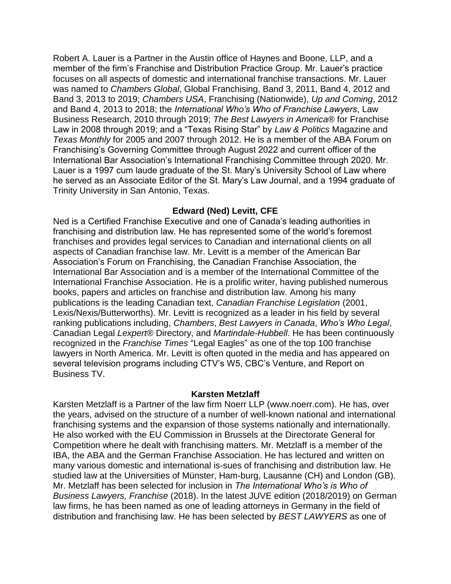Robert A. Lauer is a Partner in the Austin office of Haynes and Boone, LLP, and a member of the firm's Franchise and Distribution Practice Group. Mr. Lauer's practice focuses on all aspects of domestic and international franchise transactions. Mr. Lauer was named to *Chambers Global*, Global Franchising, Band 3, 2011, Band 4, 2012 and Band 3, 2013 to 2019; *Chambers USA*, Franchising (Nationwide), *Up and Coming*, 2012 and Band 4, 2013 to 2018; the *International Who's Who of Franchise Lawyers*, Law Business Research, 2010 through 2019; *The Best Lawyers in America*® for Franchise Law in 2008 through 2019; and a "Texas Rising Star" by *Law & Politics* Magazine and *Texas Monthly* for 2005 and 2007 through 2012. He is a member of the ABA Forum on Franchising's Governing Committee through August 2022 and current officer of the International Bar Association's International Franchising Committee through 2020. Mr. Lauer is a 1997 cum laude graduate of the St. Mary's University School of Law where he served as an Associate Editor of the St. Mary's Law Journal, and a 1994 graduate of Trinity University in San Antonio, Texas.

### **Edward (Ned) Levitt, CFE**

Ned is a Certified Franchise Executive and one of Canada's leading authorities in franchising and distribution law. He has represented some of the world's foremost franchises and provides legal services to Canadian and international clients on all aspects of Canadian franchise law. Mr. Levitt is a member of the American Bar Association's Forum on Franchising, the Canadian Franchise Association, the International Bar Association and is a member of the International Committee of the International Franchise Association. He is a prolific writer, having published numerous books, papers and articles on franchise and distribution law. Among his many publications is the leading Canadian text, *Canadian Franchise Legislation* (2001, Lexis/Nexis/Butterworths). Mr. Levitt is recognized as a leader in his field by several ranking publications including, *Chambers*, *Best Lawyers in Canada*, *Who's Who Legal*, Canadian Legal *Lexpert*® Directory, and *Martindale-Hubbell*. He has been continuously recognized in the *Franchise Times* "Legal Eagles" as one of the top 100 franchise lawyers in North America. Mr. Levitt is often quoted in the media and has appeared on several television programs including CTV's W5, CBC's Venture, and Report on Business TV.

#### **Karsten Metzlaff**

Karsten Metzlaff is a Partner of the law firm Noerr LLP (www.noerr.com). He has, over the years, advised on the structure of a number of well-known national and international franchising systems and the expansion of those systems nationally and internationally. He also worked with the EU Commission in Brussels at the Directorate General for Competition where he dealt with franchising matters. Mr. Metzlaff is a member of the IBA, the ABA and the German Franchise Association. He has lectured and written on many various domestic and international is-sues of franchising and distribution law. He studied law at the Universities of Münster, Ham-burg, Lausanne (CH) and London (GB). Mr. Metzlaff has been selected for inclusion in *The International Who's is Who of Business Lawyers, Franchise* (2018). In the latest JUVE edition (2018/2019) on German law firms, he has been named as one of leading attorneys in Germany in the field of distribution and franchising law. He has been selected by *BEST LAWYERS* as one of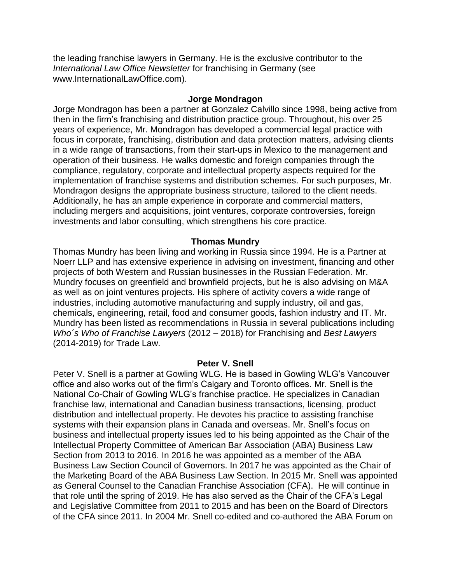the leading franchise lawyers in Germany. He is the exclusive contributor to the *International Law Office Newsletter* for franchising in Germany (see www.InternationalLawOffice.com).

#### **Jorge Mondragon**

Jorge Mondragon has been a partner at Gonzalez Calvillo since 1998, being active from then in the firm's franchising and distribution practice group. Throughout, his over 25 years of experience, Mr. Mondragon has developed a commercial legal practice with focus in corporate, franchising, distribution and data protection matters, advising clients in a wide range of transactions, from their start-ups in Mexico to the management and operation of their business. He walks domestic and foreign companies through the compliance, regulatory, corporate and intellectual property aspects required for the implementation of franchise systems and distribution schemes. For such purposes, Mr. Mondragon designs the appropriate business structure, tailored to the client needs. Additionally, he has an ample experience in corporate and commercial matters, including mergers and acquisitions, joint ventures, corporate controversies, foreign investments and labor consulting, which strengthens his core practice.

#### **Thomas Mundry**

Thomas Mundry has been living and working in Russia since 1994. He is a Partner at Noerr LLP and has extensive experience in advising on investment, financing and other projects of both Western and Russian businesses in the Russian Federation. Mr. Mundry focuses on greenfield and brownfield projects, but he is also advising on M&A as well as on joint ventures projects. His sphere of activity covers a wide range of industries, including automotive manufacturing and supply industry, oil and gas, chemicals, engineering, retail, food and consumer goods, fashion industry and IT. Mr. Mundry has been listed as recommendations in Russia in several publications including *Who´s Who of Franchise Lawyers* (2012 – 2018) for Franchising and *Best Lawyers* (2014-2019) for Trade Law.

#### **Peter V. Snell**

Peter V. Snell is a partner at Gowling WLG. He is based in Gowling WLG's Vancouver office and also works out of the firm's Calgary and Toronto offices. Mr. Snell is the National Co-Chair of Gowling WLG's franchise practice. He specializes in Canadian franchise law, international and Canadian business transactions, licensing, product distribution and intellectual property. He devotes his practice to assisting franchise systems with their expansion plans in Canada and overseas. Mr. Snell's focus on business and intellectual property issues led to his being appointed as the Chair of the Intellectual Property Committee of American Bar Association (ABA) Business Law Section from 2013 to 2016. In 2016 he was appointed as a member of the ABA Business Law Section Council of Governors. In 2017 he was appointed as the Chair of the Marketing Board of the ABA Business Law Section. In 2015 Mr. Snell was appointed as General Counsel to the Canadian Franchise Association (CFA). He will continue in that role until the spring of 2019. He has also served as the Chair of the CFA's Legal and Legislative Committee from 2011 to 2015 and has been on the Board of Directors of the CFA since 2011. In 2004 Mr. Snell co-edited and co-authored the ABA Forum on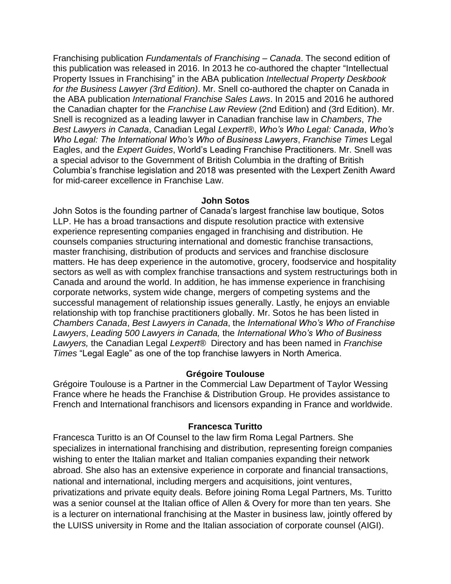Franchising publication *Fundamentals of Franchising – Canada*. The second edition of this publication was released in 2016. In 2013 he co-authored the chapter "Intellectual Property Issues in Franchising" in the ABA publication *Intellectual Property Deskbook for the Business Lawyer (3rd Edition)*. Mr. Snell co-authored the chapter on Canada in the ABA publication *International Franchise Sales Laws*. In 2015 and 2016 he authored the Canadian chapter for the *Franchise Law Review* (2nd Edition) and (3rd Edition). Mr. Snell is recognized as a leading lawyer in Canadian franchise law in *Chambers*, *The Best Lawyers in Canada*, Canadian Legal *Lexpert*®, *Who's Who Legal: Canada*, *Who's Who Legal: The International Who's Who of Business Lawyers*, *Franchise Times* Legal Eagles, and the *Expert Guides*, World's Leading Franchise Practitioners. Mr. Snell was a special advisor to the Government of British Columbia in the drafting of British Columbia's franchise legislation and 2018 was presented with the Lexpert Zenith Award for mid-career excellence in Franchise Law.

#### **John Sotos**

John Sotos is the founding partner of Canada's largest franchise law boutique, Sotos LLP. He has a broad transactions and dispute resolution practice with extensive experience representing companies engaged in franchising and distribution. He counsels companies structuring international and domestic franchise transactions, master franchising, distribution of products and services and franchise disclosure matters. He has deep experience in the automotive, grocery, foodservice and hospitality sectors as well as with complex franchise transactions and system restructurings both in Canada and around the world. In addition, he has immense experience in franchising corporate networks, system wide change, mergers of competing systems and the successful management of relationship issues generally. Lastly, he enjoys an enviable relationship with top franchise practitioners globally. Mr. Sotos he has been listed in *Chambers Canada*, *Best Lawyers in Canada*, the *International Who's Who of Franchise Lawyers*, *Leading 500 Lawyers in Canada,* the *International Who's Who of Business Lawyers,* the Canadian Legal *Lexpert*® Directory and has been named in *Franchise Times* "Legal Eagle" as one of the top franchise lawyers in North America.

#### **Grégoire Toulouse**

Grégoire Toulouse is a Partner in the Commercial Law Department of Taylor Wessing France where he heads the Franchise & Distribution Group. He provides assistance to French and International franchisors and licensors expanding in France and worldwide.

#### **Francesca Turitto**

Francesca Turitto is an Of Counsel to the law firm Roma Legal Partners. She specializes in international franchising and distribution, representing foreign companies wishing to enter the Italian market and Italian companies expanding their network abroad. She also has an extensive experience in corporate and financial transactions, national and international, including mergers and acquisitions, joint ventures, privatizations and private equity deals. Before joining Roma Legal Partners, Ms. Turitto was a senior counsel at the Italian office of Allen & Overy for more than ten years. She is a lecturer on international franchising at the Master in business law, jointly offered by the LUISS university in Rome and the Italian association of corporate counsel (AIGI).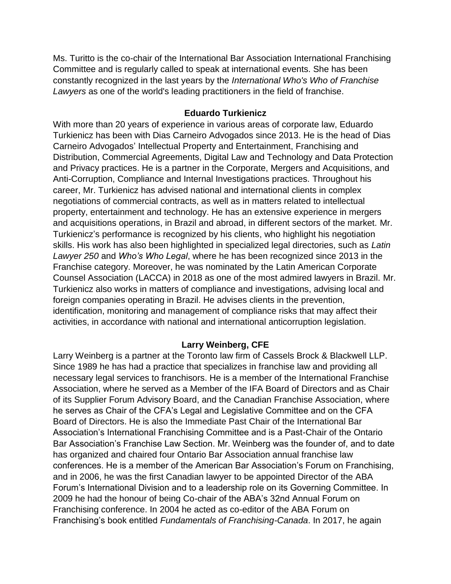Ms. Turitto is the co-chair of the International Bar Association International Franchising Committee and is regularly called to speak at international events. She has been constantly recognized in the last years by the *International Who's Who of Franchise Lawyers* as one of the world's leading practitioners in the field of franchise.

#### **Eduardo Turkienicz**

With more than 20 years of experience in various areas of corporate law, Eduardo Turkienicz has been with Dias Carneiro Advogados since 2013. He is the head of Dias Carneiro Advogados' Intellectual Property and Entertainment, Franchising and Distribution, Commercial Agreements, Digital Law and Technology and Data Protection and Privacy practices. He is a partner in the Corporate, Mergers and Acquisitions, and Anti-Corruption, Compliance and Internal Investigations practices. Throughout his career, Mr. Turkienicz has advised national and international clients in complex negotiations of commercial contracts, as well as in matters related to intellectual property, entertainment and technology. He has an extensive experience in mergers and acquisitions operations, in Brazil and abroad, in different sectors of the market. Mr. Turkienicz's performance is recognized by his clients, who highlight his negotiation skills. His work has also been highlighted in specialized legal directories, such as *Latin Lawyer 250* and *Who's Who Legal*, where he has been recognized since 2013 in the Franchise category. Moreover, he was nominated by the Latin American Corporate Counsel Association (LACCA) in 2018 as one of the most admired lawyers in Brazil. Mr. Turkienicz also works in matters of compliance and investigations, advising local and foreign companies operating in Brazil. He advises clients in the prevention, identification, monitoring and management of compliance risks that may affect their activities, in accordance with national and international anticorruption legislation.

### **Larry Weinberg, CFE**

Larry Weinberg is a partner at the Toronto law firm of Cassels Brock & Blackwell LLP. Since 1989 he has had a practice that specializes in franchise law and providing all necessary legal services to franchisors. He is a member of the International Franchise Association, where he served as a Member of the IFA Board of Directors and as Chair of its Supplier Forum Advisory Board, and the Canadian Franchise Association, where he serves as Chair of the CFA's Legal and Legislative Committee and on the CFA Board of Directors. He is also the Immediate Past Chair of the International Bar Association's International Franchising Committee and is a Past-Chair of the Ontario Bar Association's Franchise Law Section. Mr. Weinberg was the founder of, and to date has organized and chaired four Ontario Bar Association annual franchise law conferences. He is a member of the American Bar Association's Forum on Franchising, and in 2006, he was the first Canadian lawyer to be appointed Director of the ABA Forum's International Division and to a leadership role on its Governing Committee. In 2009 he had the honour of being Co-chair of the ABA's 32nd Annual Forum on Franchising conference. In 2004 he acted as co-editor of the ABA Forum on Franchising's book entitled *Fundamentals of Franchising-Canada*. In 2017, he again